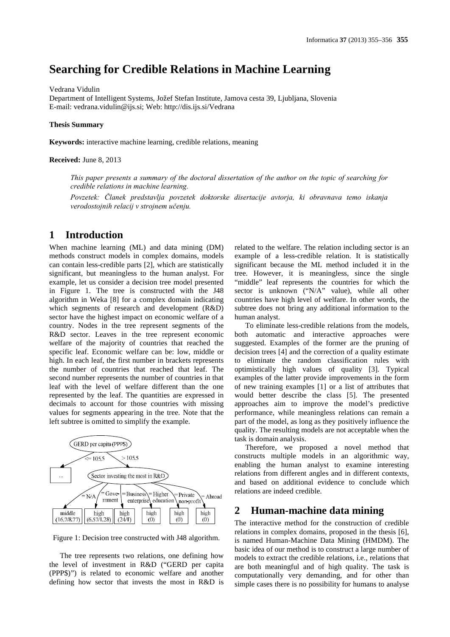# **Searching for Credible Relations in Machine Learning**

#### Vedrana Vidulin

Department of Intelligent Systems, Jožef Stefan Institute, Jamova cesta 39, Ljubljana, Slovenia E-mail: vedrana.vidulin@ijs.si; Web: http://dis.ijs.si/Vedrana

#### **Thesis Summary**

**Keywords:** interactive machine learning, credible relations, meaning

#### **Received:** June 8, 2013

*This paper presents a summary of the doctoral dissertation of the author on the topic of searching for credible relations in machine learning.*

*Povzetek: Članek predstavlja povzetek doktorske disertacije avtorja, ki obravnava temo iskanja verodostojnih relacij v strojnem učenju.*

## **1 Introduction**

When machine learning (ML) and data mining (DM) methods construct models in complex domains, models can contain less-credible parts [2], which are statistically significant, but meaningless to the human analyst. For example, let us consider a decision tree model presented in Figure 1. The tree is constructed with the J48 algorithm in Weka [8] for a complex domain indicating which segments of research and development (R&D) sector have the highest impact on economic welfare of a country. Nodes in the tree represent segments of the R&D sector. Leaves in the tree represent economic welfare of the majority of countries that reached the specific leaf. Economic welfare can be: low, middle or high. In each leaf, the first number in brackets represents the number of countries that reached that leaf. The second number represents the number of countries in that leaf with the level of welfare different than the one represented by the leaf. The quantities are expressed in decimals to account for those countries with missing values for segments appearing in the tree. Note that the left subtree is omitted to simplify the example.



Figure 1: Decision tree constructed with J48 algorithm.

The tree represents two relations, one defining how the level of investment in R&D ("GERD per capita (PPP\$)") is related to economic welfare and another defining how sector that invests the most in R&D is

related to the welfare. The relation including sector is an example of a less-credible relation. It is statistically significant because the ML method included it in the tree. However, it is meaningless, since the single "middle" leaf represents the countries for which the sector is unknown ("N/A" value), while all other countries have high level of welfare. In other words, the subtree does not bring any additional information to the human analyst.

To eliminate less-credible relations from the models, both automatic and interactive approaches were suggested. Examples of the former are the pruning of decision trees [4] and the correction of a quality estimate to eliminate the random classification rules with optimistically high values of quality [3]. Typical examples of the latter provide improvements in the form of new training examples [1] or a list of attributes that would better describe the class [5]. The presented approaches aim to improve the model's predictive performance, while meaningless relations can remain a part of the model, as long as they positively influence the quality. The resulting models are not acceptable when the task is domain analysis.

Therefore, we proposed a novel method that constructs multiple models in an algorithmic way, enabling the human analyst to examine interesting relations from different angles and in different contexts, and based on additional evidence to conclude which relations are indeed credible.

# **2 Human-machine data mining**

The interactive method for the construction of credible relations in complex domains, proposed in the thesis [6], is named Human-Machine Data Mining (HMDM). The basic idea of our method is to construct a large number of models to extract the credible relations, i.e., relations that are both meaningful and of high quality. The task is computationally very demanding, and for other than simple cases there is no possibility for humans to analyse